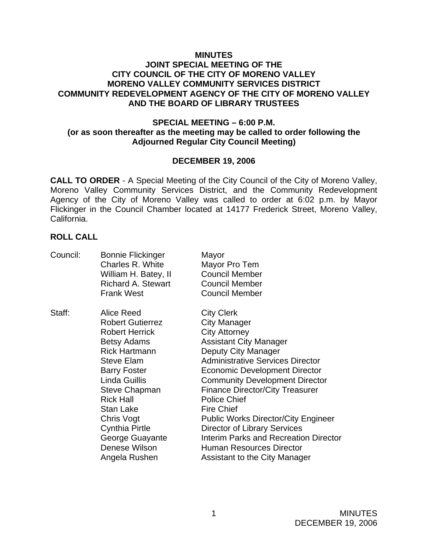#### **MINUTES**

### **JOINT SPECIAL MEETING OF THE CITY COUNCIL OF THE CITY OF MORENO VALLEY MORENO VALLEY COMMUNITY SERVICES DISTRICT COMMUNITY REDEVELOPMENT AGENCY OF THE CITY OF MORENO VALLEY AND THE BOARD OF LIBRARY TRUSTEES**

#### **SPECIAL MEETING – 6:00 P.M. (or as soon thereafter as the meeting may be called to order following the Adjourned Regular City Council Meeting)**

#### **DECEMBER 19, 2006**

**CALL TO ORDER** - A Special Meeting of the City Council of the City of Moreno Valley, Moreno Valley Community Services District, and the Community Redevelopment Agency of the City of Moreno Valley was called to order at 6:02 p.m. by Mayor Flickinger in the Council Chamber located at 14177 Frederick Street, Moreno Valley, California.

#### **ROLL CALL**

| Council: | <b>Bonnie Flickinger</b><br>Charles R. White<br>William H. Batey, II<br><b>Richard A. Stewart</b><br><b>Frank West</b>                                                                                                                                                                                                                | Mayor<br>Mayor Pro Tem<br><b>Council Member</b><br><b>Council Member</b><br><b>Council Member</b>                                                                                                                                                                                                                                                                                                                                                                                                                                     |
|----------|---------------------------------------------------------------------------------------------------------------------------------------------------------------------------------------------------------------------------------------------------------------------------------------------------------------------------------------|---------------------------------------------------------------------------------------------------------------------------------------------------------------------------------------------------------------------------------------------------------------------------------------------------------------------------------------------------------------------------------------------------------------------------------------------------------------------------------------------------------------------------------------|
| Staff:   | Alice Reed<br><b>Robert Gutierrez</b><br><b>Robert Herrick</b><br><b>Betsy Adams</b><br><b>Rick Hartmann</b><br><b>Steve Elam</b><br><b>Barry Foster</b><br><b>Linda Guillis</b><br><b>Steve Chapman</b><br><b>Rick Hall</b><br>Stan Lake<br>Chris Vogt<br><b>Cynthia Pirtle</b><br>George Guayante<br>Denese Wilson<br>Angela Rushen | <b>City Clerk</b><br><b>City Manager</b><br><b>City Attorney</b><br><b>Assistant City Manager</b><br>Deputy City Manager<br><b>Administrative Services Director</b><br><b>Economic Development Director</b><br><b>Community Development Director</b><br><b>Finance Director/City Treasurer</b><br><b>Police Chief</b><br><b>Fire Chief</b><br><b>Public Works Director/City Engineer</b><br>Director of Library Services<br>Interim Parks and Recreation Director<br><b>Human Resources Director</b><br>Assistant to the City Manager |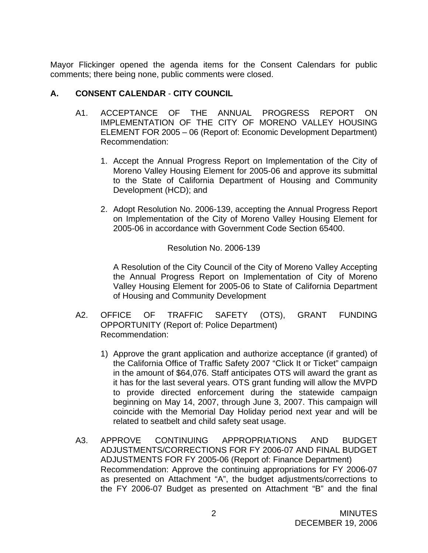Mayor Flickinger opened the agenda items for the Consent Calendars for public comments; there being none, public comments were closed.

# **A. CONSENT CALENDAR** - **CITY COUNCIL**

- A1. ACCEPTANCE OF THE ANNUAL PROGRESS REPORT ON IMPLEMENTATION OF THE CITY OF MORENO VALLEY HOUSING ELEMENT FOR 2005 – 06 (Report of: Economic Development Department) Recommendation:
	- 1. Accept the Annual Progress Report on Implementation of the City of Moreno Valley Housing Element for 2005-06 and approve its submittal to the State of California Department of Housing and Community Development (HCD); and
	- 2. Adopt Resolution No. 2006-139, accepting the Annual Progress Report on Implementation of the City of Moreno Valley Housing Element for 2005-06 in accordance with Government Code Section 65400.

Resolution No. 2006-139

A Resolution of the City Council of the City of Moreno Valley Accepting the Annual Progress Report on Implementation of City of Moreno Valley Housing Element for 2005-06 to State of California Department of Housing and Community Development

- A2. OFFICE OF TRAFFIC SAFETY (OTS), GRANT FUNDING OPPORTUNITY (Report of: Police Department) Recommendation:
	- 1) Approve the grant application and authorize acceptance (if granted) of the California Office of Traffic Safety 2007 "Click It or Ticket" campaign in the amount of \$64,076. Staff anticipates OTS will award the grant as it has for the last several years. OTS grant funding will allow the MVPD to provide directed enforcement during the statewide campaign beginning on May 14, 2007, through June 3, 2007. This campaign will coincide with the Memorial Day Holiday period next year and will be related to seatbelt and child safety seat usage.
- A3. APPROVE CONTINUING APPROPRIATIONS AND BUDGET ADJUSTMENTS/CORRECTIONS FOR FY 2006-07 AND FINAL BUDGET ADJUSTMENTS FOR FY 2005-06 (Report of: Finance Department) Recommendation: Approve the continuing appropriations for FY 2006-07 as presented on Attachment "A", the budget adjustments/corrections to the FY 2006-07 Budget as presented on Attachment "B" and the final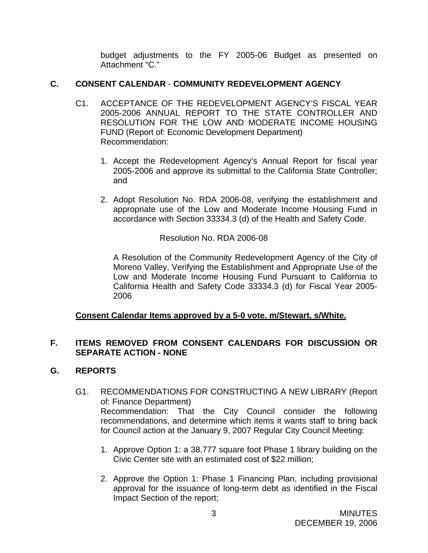budget adjustments to the FY 2005-06 Budget as presented on Attachment "C."

## **C. CONSENT CALENDAR** - **COMMUNITY REDEVELOPMENT AGENCY**

- C1. ACCEPTANCE OF THE REDEVELOPMENT AGENCY'S FISCAL YEAR 2005-2006 ANNUAL REPORT TO THE STATE CONTROLLER AND RESOLUTION FOR THE LOW AND MODERATE INCOME HOUSING FUND (Report of: Economic Development Department) Recommendation:
	- 1. Accept the Redevelopment Agency's Annual Report for fiscal year 2005-2006 and approve its submittal to the California State Controller; and
	- 2. Adopt Resolution No. RDA 2006-08, verifying the establishment and appropriate use of the Low and Moderate Income Housing Fund in accordance with Section 33334.3 (d) of the Health and Safety Code.

Resolution No. RDA 2006-08

A Resolution of the Community Redevelopment Agency of the City of Moreno Valley, Verifying the Establishment and Appropriate Use of the Low and Moderate Income Housing Fund Pursuant to California to California Health and Safety Code 33334.3 (d) for Fiscal Year 2005- 2006

## **Consent Calendar Items approved by a 5-0 vote. m/Stewart, s/White.**

## **F. ITEMS REMOVED FROM CONSENT CALENDARS FOR DISCUSSION OR SEPARATE ACTION - NONE**

## **G. REPORTS**

- G1. RECOMMENDATIONS FOR CONSTRUCTING A NEW LIBRARY (Report of: Finance Department) Recommendation: That the City Council consider the following recommendations, and determine which items it wants staff to bring back for Council action at the January 9, 2007 Regular City Council Meeting:
	- 1. Approve Option 1: a 38,777 square foot Phase 1 library building on the Civic Center site with an estimated cost of \$22 million;
	- 2. Approve the Option 1: Phase 1 Financing Plan, including provisional approval for the issuance of long-term debt as identified in the Fiscal Impact Section of the report;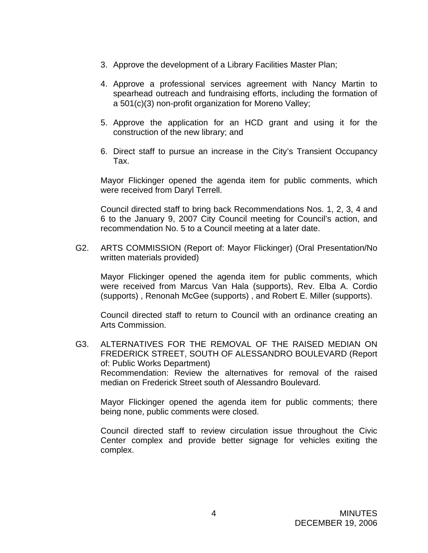- 3. Approve the development of a Library Facilities Master Plan;
- 4. Approve a professional services agreement with Nancy Martin to spearhead outreach and fundraising efforts, including the formation of a 501(c)(3) non-profit organization for Moreno Valley;
- 5. Approve the application for an HCD grant and using it for the construction of the new library; and
- 6. Direct staff to pursue an increase in the City's Transient Occupancy Tax.

Mayor Flickinger opened the agenda item for public comments, which were received from Daryl Terrell.

Council directed staff to bring back Recommendations Nos. 1, 2, 3, 4 and 6 to the January 9, 2007 City Council meeting for Council's action, and recommendation No. 5 to a Council meeting at a later date.

G2. ARTS COMMISSION (Report of: Mayor Flickinger) (Oral Presentation/No written materials provided)

Mayor Flickinger opened the agenda item for public comments, which were received from Marcus Van Hala (supports), Rev. Elba A. Cordio (supports) , Renonah McGee (supports) , and Robert E. Miller (supports).

 Council directed staff to return to Council with an ordinance creating an Arts Commission.

G3. ALTERNATIVES FOR THE REMOVAL OF THE RAISED MEDIAN ON FREDERICK STREET, SOUTH OF ALESSANDRO BOULEVARD (Report of: Public Works Department) Recommendation: Review the alternatives for removal of the raised median on Frederick Street south of Alessandro Boulevard.

 Mayor Flickinger opened the agenda item for public comments; there being none, public comments were closed.

Council directed staff to review circulation issue throughout the Civic Center complex and provide better signage for vehicles exiting the complex.